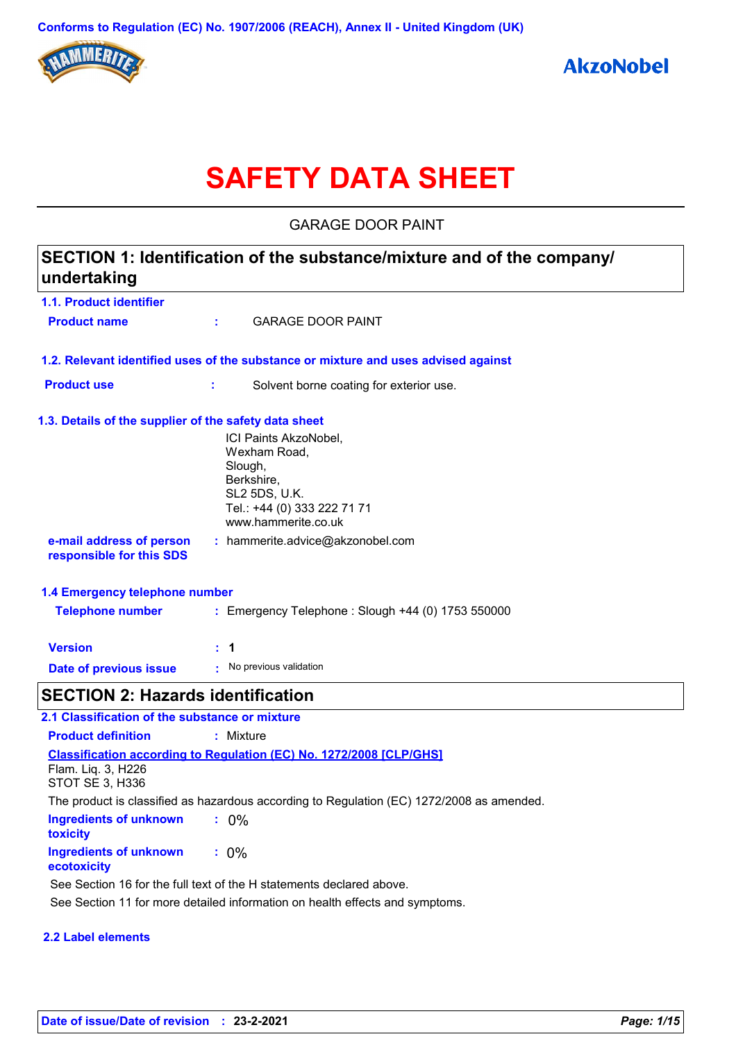

# **SAFETY DATA SHEET**

GARAGE DOOR PAINT

| SECTION 1: Identification of the substance/mixture and of the company/<br>undertaking |                                                        |                                                                                    |  |
|---------------------------------------------------------------------------------------|--------------------------------------------------------|------------------------------------------------------------------------------------|--|
| 1.1. Product identifier                                                               |                                                        |                                                                                    |  |
| <b>Product name</b>                                                                   |                                                        | <b>GARAGE DOOR PAINT</b>                                                           |  |
|                                                                                       |                                                        | 1.2. Relevant identified uses of the substance or mixture and uses advised against |  |
| <b>Product use</b>                                                                    | ÷.                                                     | Solvent borne coating for exterior use.                                            |  |
| 1.3. Details of the supplier of the safety data sheet                                 |                                                        |                                                                                    |  |
|                                                                                       | Wexham Road,<br>Slough,<br>Berkshire,<br>SL2 5DS, U.K. | ICI Paints AkzoNobel,<br>Tel.: +44 (0) 333 222 71 71<br>www.hammerite.co.uk        |  |
| e-mail address of person<br>responsible for this SDS                                  | : hammerite.advice@akzonobel.com                       |                                                                                    |  |
| 1.4 Emergency telephone number                                                        |                                                        |                                                                                    |  |
| <b>Telephone number</b>                                                               | : Emergency Telephone : Slough +44 (0) 1753 550000     |                                                                                    |  |
| <b>Version</b>                                                                        | : 1                                                    |                                                                                    |  |
| Date of previous issue                                                                | No previous validation                                 |                                                                                    |  |
| <b>SECTION 2: Hazards identification</b>                                              |                                                        |                                                                                    |  |
| 2.1 Classification of the substance or mixture                                        |                                                        |                                                                                    |  |
| <b>Product definition</b>                                                             | : Mixture                                              |                                                                                    |  |

**Ingredients of unknown toxicity :** 0% **Ingredients of unknown :** 0% **Classification according to Regulation (EC) No. 1272/2008 [CLP/GHS]** Flam. Liq. 3, H226 STOT SE 3, H336 The product is classified as hazardous according to Regulation (EC) 1272/2008 as amended.

#### **ecotoxicity**

See Section 16 for the full text of the H statements declared above.

See Section 11 for more detailed information on health effects and symptoms.

#### **2.2 Label elements**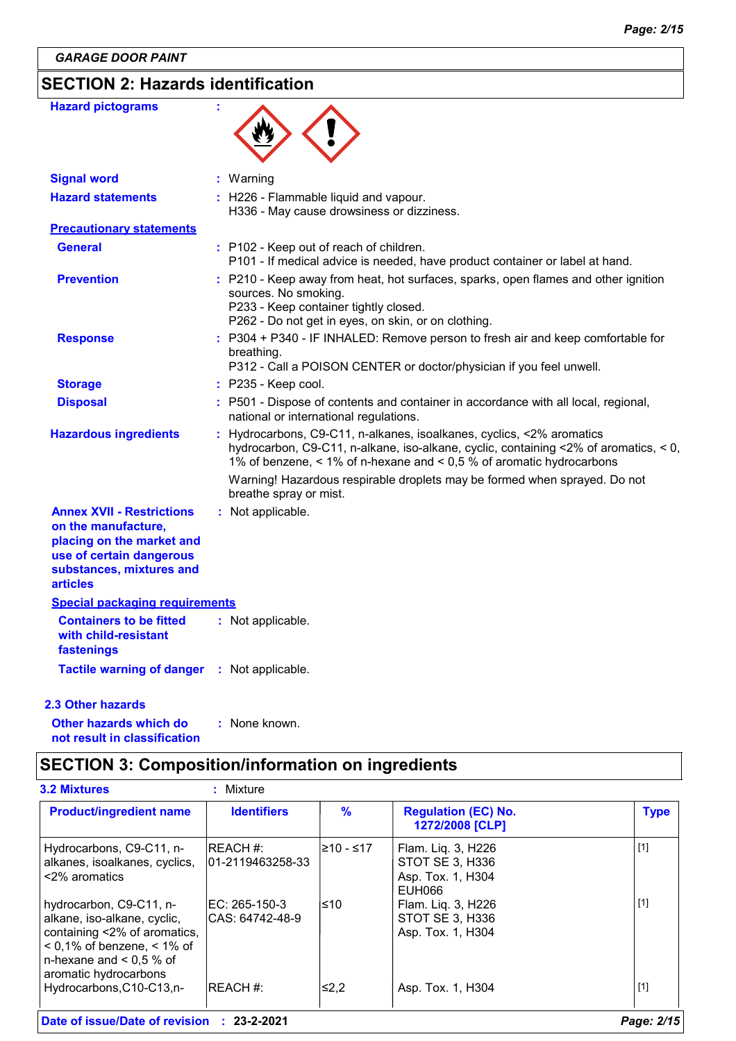# **SECTION 2: Hazards identification**

| <b>Hazard pictograms</b>                                                                                                                                        |                                                                                                                                                                                                                                     |
|-----------------------------------------------------------------------------------------------------------------------------------------------------------------|-------------------------------------------------------------------------------------------------------------------------------------------------------------------------------------------------------------------------------------|
| <b>Signal word</b>                                                                                                                                              | : Warning                                                                                                                                                                                                                           |
| <b>Hazard statements</b>                                                                                                                                        | : H226 - Flammable liquid and vapour.<br>H336 - May cause drowsiness or dizziness.                                                                                                                                                  |
| <b>Precautionary statements</b>                                                                                                                                 |                                                                                                                                                                                                                                     |
| <b>General</b>                                                                                                                                                  | : P102 - Keep out of reach of children.<br>P101 - If medical advice is needed, have product container or label at hand.                                                                                                             |
| <b>Prevention</b>                                                                                                                                               | : P210 - Keep away from heat, hot surfaces, sparks, open flames and other ignition<br>sources. No smoking.<br>P233 - Keep container tightly closed.<br>P262 - Do not get in eyes, on skin, or on clothing.                          |
| <b>Response</b>                                                                                                                                                 | : P304 + P340 - IF INHALED: Remove person to fresh air and keep comfortable for<br>breathing.<br>P312 - Call a POISON CENTER or doctor/physician if you feel unwell.                                                                |
| <b>Storage</b>                                                                                                                                                  | $:$ P235 - Keep cool.                                                                                                                                                                                                               |
| <b>Disposal</b>                                                                                                                                                 | : P501 - Dispose of contents and container in accordance with all local, regional,<br>national or international regulations.                                                                                                        |
| <b>Hazardous ingredients</b>                                                                                                                                    | Hydrocarbons, C9-C11, n-alkanes, isoalkanes, cyclics, <2% aromatics<br>hydrocarbon, C9-C11, n-alkane, iso-alkane, cyclic, containing <2% of aromatics, < 0,<br>1% of benzene, < 1% of n-hexane and < 0,5 % of aromatic hydrocarbons |
|                                                                                                                                                                 | Warning! Hazardous respirable droplets may be formed when sprayed. Do not<br>breathe spray or mist.                                                                                                                                 |
| <b>Annex XVII - Restrictions</b><br>on the manufacture,<br>placing on the market and<br>use of certain dangerous<br>substances, mixtures and<br><b>articles</b> | : Not applicable.                                                                                                                                                                                                                   |
| <b>Special packaging requirements</b>                                                                                                                           |                                                                                                                                                                                                                                     |
| <b>Containers to be fitted</b><br>with child-resistant<br>fastenings                                                                                            | : Not applicable.                                                                                                                                                                                                                   |
| Tactile warning of danger : Not applicable.                                                                                                                     |                                                                                                                                                                                                                                     |

#### **2.3 Other hazards**

**Other hazards which do : not result in classification** : None known.

# **SECTION 3: Composition/information on ingredients**

| <b>Product/ingredient name</b>                                                                                                                                                 | <b>Identifiers</b>                   | $\frac{9}{6}$ | <b>Regulation (EC) No.</b><br>1272/2008 [CLP]                        | <b>Type</b> |
|--------------------------------------------------------------------------------------------------------------------------------------------------------------------------------|--------------------------------------|---------------|----------------------------------------------------------------------|-------------|
| Hydrocarbons, C9-C11, n-<br>alkanes, isoalkanes, cyclics,<br><2% aromatics                                                                                                     | <b>IREACH #:</b><br>01-2119463258-33 | 210 - ≤17     | Flam. Liq. 3, H226<br>STOT SE 3, H336<br>Asp. Tox. 1, H304<br>EUH066 | $[1]$       |
| hydrocarbon, C9-C11, n-<br>alkane, iso-alkane, cyclic,<br>containing <2% of aromatics,<br>$<$ 0,1% of benzene, $<$ 1% of<br>n-hexane and $< 0.5 %$ of<br>aromatic hydrocarbons | EC: 265-150-3<br>ICAS: 64742-48-9    | l≤10          | Flam. Lig. 3, H226<br>STOT SE 3, H336<br>Asp. Tox. 1, H304           | $[1]$       |
| Hydrocarbons, C10-C13, n-                                                                                                                                                      | <b>IREACH #:</b>                     | ≤2,2          | Asp. Tox. 1, H304                                                    | $[1]$       |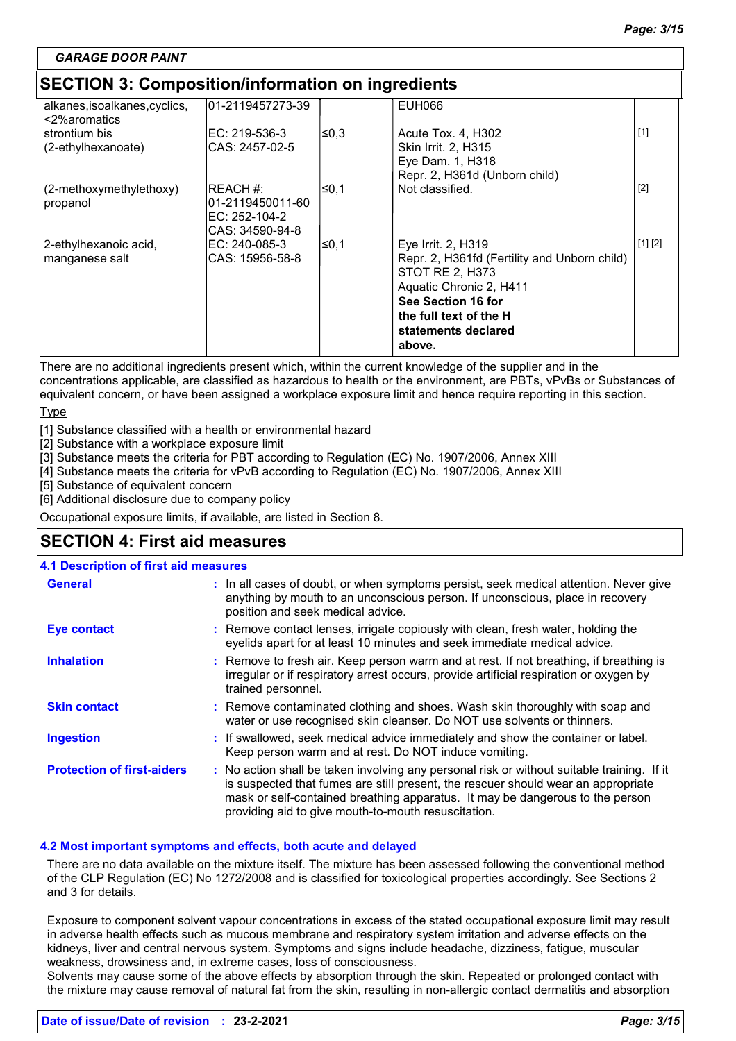# **SECTION 3: Composition/information on ingredients**

| <u>ses non s. sompositionmusemation on ingredictio</u> |                   |       |                                              |         |  |
|--------------------------------------------------------|-------------------|-------|----------------------------------------------|---------|--|
| alkanes, isoalkanes, cyclics,<br><2%aromatics          | 01-2119457273-39  |       | <b>EUH066</b>                                |         |  |
| strontium bis                                          | EC: 219-536-3     | l≤0,3 | Acute Tox. 4, H302                           | $[1]$   |  |
| (2-ethylhexanoate)                                     | ICAS: 2457-02-5   |       | Skin Irrit. 2, H315                          |         |  |
|                                                        |                   |       | Eye Dam. 1, H318                             |         |  |
|                                                        |                   |       | Repr. 2, H361d (Unborn child)                |         |  |
| (2-methoxymethylethoxy)                                | IREACH #:         | ≤0,1  | Not classified.                              | $[2]$   |  |
| propanol                                               | l01-2119450011-60 |       |                                              |         |  |
|                                                        | EC: 252-104-2     |       |                                              |         |  |
|                                                        | ICAS: 34590-94-8  |       |                                              |         |  |
| 2-ethylhexanoic acid,                                  | IEC: 240-085-3    | ∣≤0,1 | Eye Irrit. 2, H319                           | [1] [2] |  |
| manganese salt                                         | CAS: 15956-58-8   |       | Repr. 2, H361fd (Fertility and Unborn child) |         |  |
|                                                        |                   |       | STOT RE 2, H373                              |         |  |
|                                                        |                   |       | Aquatic Chronic 2, H411                      |         |  |
|                                                        |                   |       | See Section 16 for                           |         |  |
|                                                        |                   |       | the full text of the H                       |         |  |
|                                                        |                   |       | statements declared                          |         |  |
|                                                        |                   |       | above.                                       |         |  |
|                                                        |                   |       |                                              |         |  |

There are no additional ingredients present which, within the current knowledge of the supplier and in the concentrations applicable, are classified as hazardous to health or the environment, are PBTs, vPvBs or Substances of equivalent concern, or have been assigned a workplace exposure limit and hence require reporting in this section.

#### **Type**

[1] Substance classified with a health or environmental hazard

[2] Substance with a workplace exposure limit

[3] Substance meets the criteria for PBT according to Regulation (EC) No. 1907/2006, Annex XIII

[4] Substance meets the criteria for vPvB according to Regulation (EC) No. 1907/2006, Annex XIII

[5] Substance of equivalent concern

[6] Additional disclosure due to company policy

Occupational exposure limits, if available, are listed in Section 8.

# **SECTION 4: First aid measures**

#### **4.1 Description of first aid measures**

| <b>General</b>                    | : In all cases of doubt, or when symptoms persist, seek medical attention. Never give<br>anything by mouth to an unconscious person. If unconscious, place in recovery<br>position and seek medical advice.                                                                                                             |
|-----------------------------------|-------------------------------------------------------------------------------------------------------------------------------------------------------------------------------------------------------------------------------------------------------------------------------------------------------------------------|
| <b>Eye contact</b>                | : Remove contact lenses, irrigate copiously with clean, fresh water, holding the<br>eyelids apart for at least 10 minutes and seek immediate medical advice.                                                                                                                                                            |
| <b>Inhalation</b>                 | : Remove to fresh air. Keep person warm and at rest. If not breathing, if breathing is<br>irregular or if respiratory arrest occurs, provide artificial respiration or oxygen by<br>trained personnel.                                                                                                                  |
| <b>Skin contact</b>               | : Remove contaminated clothing and shoes. Wash skin thoroughly with soap and<br>water or use recognised skin cleanser. Do NOT use solvents or thinners.                                                                                                                                                                 |
| <b>Ingestion</b>                  | : If swallowed, seek medical advice immediately and show the container or label.<br>Keep person warm and at rest. Do NOT induce vomiting.                                                                                                                                                                               |
| <b>Protection of first-aiders</b> | : No action shall be taken involving any personal risk or without suitable training. If it<br>is suspected that fumes are still present, the rescuer should wear an appropriate<br>mask or self-contained breathing apparatus. It may be dangerous to the person<br>providing aid to give mouth-to-mouth resuscitation. |

#### **4.2 Most important symptoms and effects, both acute and delayed**

There are no data available on the mixture itself. The mixture has been assessed following the conventional method of the CLP Regulation (EC) No 1272/2008 and is classified for toxicological properties accordingly. See Sections 2 and 3 for details.

Exposure to component solvent vapour concentrations in excess of the stated occupational exposure limit may result in adverse health effects such as mucous membrane and respiratory system irritation and adverse effects on the kidneys, liver and central nervous system. Symptoms and signs include headache, dizziness, fatigue, muscular weakness, drowsiness and, in extreme cases, loss of consciousness.

Solvents may cause some of the above effects by absorption through the skin. Repeated or prolonged contact with the mixture may cause removal of natural fat from the skin, resulting in non-allergic contact dermatitis and absorption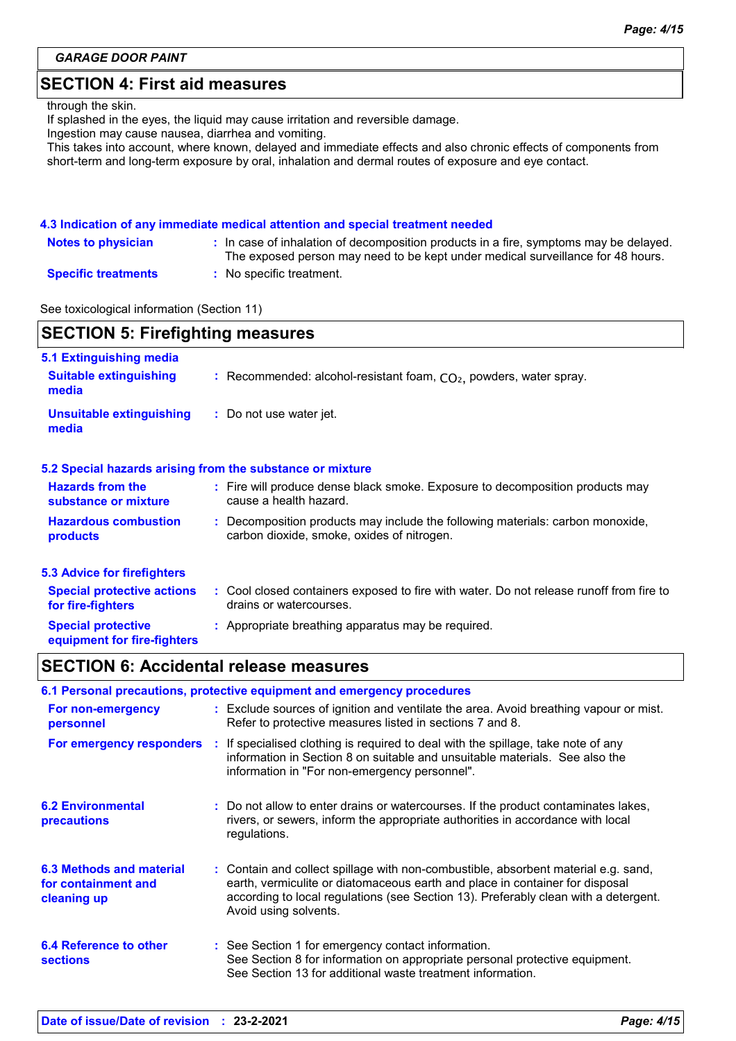# **SECTION 4: First aid measures**

#### through the skin.

If splashed in the eyes, the liquid may cause irritation and reversible damage.

Ingestion may cause nausea, diarrhea and vomiting.

This takes into account, where known, delayed and immediate effects and also chronic effects of components from short-term and long-term exposure by oral, inhalation and dermal routes of exposure and eye contact.

#### **4.3 Indication of any immediate medical attention and special treatment needed**

| <b>Notes to physician</b>  | : In case of inhalation of decomposition products in a fire, symptoms may be delayed.<br>The exposed person may need to be kept under medical surveillance for 48 hours. |
|----------------------------|--------------------------------------------------------------------------------------------------------------------------------------------------------------------------|
| <b>Specific treatments</b> | : No specific treatment.                                                                                                                                                 |

See toxicological information (Section 11)

| <b>SECTION 5: Firefighting measures</b>                  |                                                                                                                            |  |  |  |
|----------------------------------------------------------|----------------------------------------------------------------------------------------------------------------------------|--|--|--|
| 5.1 Extinguishing media                                  |                                                                                                                            |  |  |  |
| <b>Suitable extinguishing</b><br>media                   | : Recommended: alcohol-resistant foam, $CO2$ , powders, water spray.                                                       |  |  |  |
| <b>Unsuitable extinguishing</b><br>media                 | : Do not use water jet.                                                                                                    |  |  |  |
|                                                          | 5.2 Special hazards arising from the substance or mixture                                                                  |  |  |  |
| <b>Hazards from the</b><br>substance or mixture          | : Fire will produce dense black smoke. Exposure to decomposition products may<br>cause a health hazard.                    |  |  |  |
| <b>Hazardous combustion</b><br>products                  | Decomposition products may include the following materials: carbon monoxide,<br>carbon dioxide, smoke, oxides of nitrogen. |  |  |  |
| <b>5.3 Advice for firefighters</b>                       |                                                                                                                            |  |  |  |
| <b>Special protective actions</b><br>for fire-fighters   | : Cool closed containers exposed to fire with water. Do not release runoff from fire to<br>drains or watercourses.         |  |  |  |
| <b>Special protective</b><br>equipment for fire-fighters | : Appropriate breathing apparatus may be required.                                                                         |  |  |  |

# **SECTION 6: Accidental release measures**

| 6.1 Personal precautions, protective equipment and emergency procedures |  |                                                                                                                                                                                                                                                                                    |  |  |
|-------------------------------------------------------------------------|--|------------------------------------------------------------------------------------------------------------------------------------------------------------------------------------------------------------------------------------------------------------------------------------|--|--|
| For non-emergency<br>personnel                                          |  | : Exclude sources of ignition and ventilate the area. Avoid breathing vapour or mist.<br>Refer to protective measures listed in sections 7 and 8.                                                                                                                                  |  |  |
| For emergency responders                                                |  | : If specialised clothing is required to deal with the spillage, take note of any<br>information in Section 8 on suitable and unsuitable materials. See also the<br>information in "For non-emergency personnel".                                                                  |  |  |
| <b>6.2 Environmental</b><br>precautions                                 |  | : Do not allow to enter drains or watercourses. If the product contaminates lakes,<br>rivers, or sewers, inform the appropriate authorities in accordance with local<br>regulations.                                                                                               |  |  |
| 6.3 Methods and material<br>for containment and<br>cleaning up          |  | : Contain and collect spillage with non-combustible, absorbent material e.g. sand,<br>earth, vermiculite or diatomaceous earth and place in container for disposal<br>according to local regulations (see Section 13). Preferably clean with a detergent.<br>Avoid using solvents. |  |  |
| 6.4 Reference to other<br><b>sections</b>                               |  | : See Section 1 for emergency contact information.<br>See Section 8 for information on appropriate personal protective equipment.<br>See Section 13 for additional waste treatment information.                                                                                    |  |  |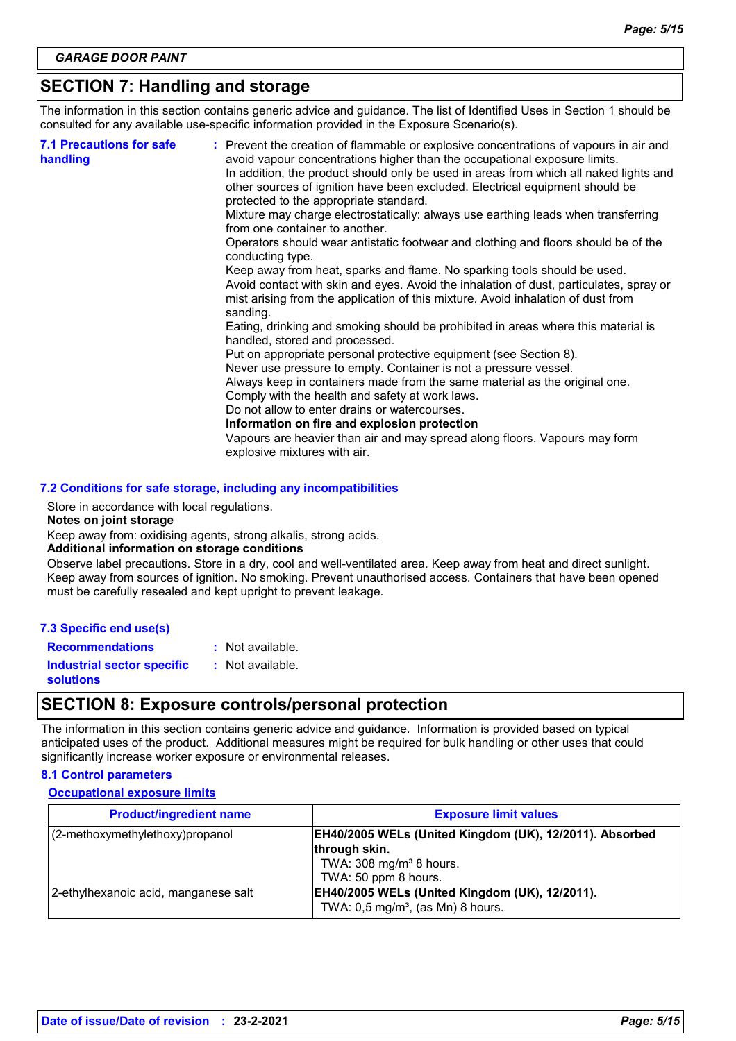# **SECTION 7: Handling and storage**

The information in this section contains generic advice and guidance. The list of Identified Uses in Section 1 should be consulted for any available use-specific information provided in the Exposure Scenario(s).

| <b>7.1 Precautions for safe</b><br>handling | : Prevent the creation of flammable or explosive concentrations of vapours in air and<br>avoid vapour concentrations higher than the occupational exposure limits.<br>In addition, the product should only be used in areas from which all naked lights and<br>other sources of ignition have been excluded. Electrical equipment should be<br>protected to the appropriate standard.<br>Mixture may charge electrostatically: always use earthing leads when transferring<br>from one container to another.<br>Operators should wear antistatic footwear and clothing and floors should be of the<br>conducting type.<br>Keep away from heat, sparks and flame. No sparking tools should be used.<br>Avoid contact with skin and eyes. Avoid the inhalation of dust, particulates, spray or<br>mist arising from the application of this mixture. Avoid inhalation of dust from<br>sanding.<br>Eating, drinking and smoking should be prohibited in areas where this material is<br>handled, stored and processed.<br>Put on appropriate personal protective equipment (see Section 8).<br>Never use pressure to empty. Container is not a pressure vessel.<br>Always keep in containers made from the same material as the original one.<br>Comply with the health and safety at work laws.<br>Do not allow to enter drains or watercourses.<br>Information on fire and explosion protection<br>Vapours are heavier than air and may spread along floors. Vapours may form |
|---------------------------------------------|------------------------------------------------------------------------------------------------------------------------------------------------------------------------------------------------------------------------------------------------------------------------------------------------------------------------------------------------------------------------------------------------------------------------------------------------------------------------------------------------------------------------------------------------------------------------------------------------------------------------------------------------------------------------------------------------------------------------------------------------------------------------------------------------------------------------------------------------------------------------------------------------------------------------------------------------------------------------------------------------------------------------------------------------------------------------------------------------------------------------------------------------------------------------------------------------------------------------------------------------------------------------------------------------------------------------------------------------------------------------------------------------------------------------------------------------------------------------------|
|                                             | explosive mixtures with air.                                                                                                                                                                                                                                                                                                                                                                                                                                                                                                                                                                                                                                                                                                                                                                                                                                                                                                                                                                                                                                                                                                                                                                                                                                                                                                                                                                                                                                                 |

#### **7.2 Conditions for safe storage, including any incompatibilities**

Store in accordance with local regulations.

#### **Notes on joint storage**

Keep away from: oxidising agents, strong alkalis, strong acids.

#### **Additional information on storage conditions**

Observe label precautions. Store in a dry, cool and well-ventilated area. Keep away from heat and direct sunlight. Keep away from sources of ignition. No smoking. Prevent unauthorised access. Containers that have been opened must be carefully resealed and kept upright to prevent leakage.

**Recommendations :** Not available.

**Industrial sector specific :**

: Not available.

**solutions**

### **SECTION 8: Exposure controls/personal protection**

The information in this section contains generic advice and guidance. Information is provided based on typical anticipated uses of the product. Additional measures might be required for bulk handling or other uses that could significantly increase worker exposure or environmental releases.

#### **8.1 Control parameters**

#### **Occupational exposure limits**

| <b>Product/ingredient name</b>       | <b>Exposure limit values</b>                                                                      |
|--------------------------------------|---------------------------------------------------------------------------------------------------|
| (2-methoxymethylethoxy) propanol     | EH40/2005 WELs (United Kingdom (UK), 12/2011). Absorbed<br>through skin.                          |
|                                      | TWA: $308 \text{ mg/m}^3$ 8 hours.<br>TWA: 50 ppm 8 hours.                                        |
| 2-ethylhexanoic acid, manganese salt | EH40/2005 WELs (United Kingdom (UK), 12/2011).<br>TWA: $0.5$ mg/m <sup>3</sup> , (as Mn) 8 hours. |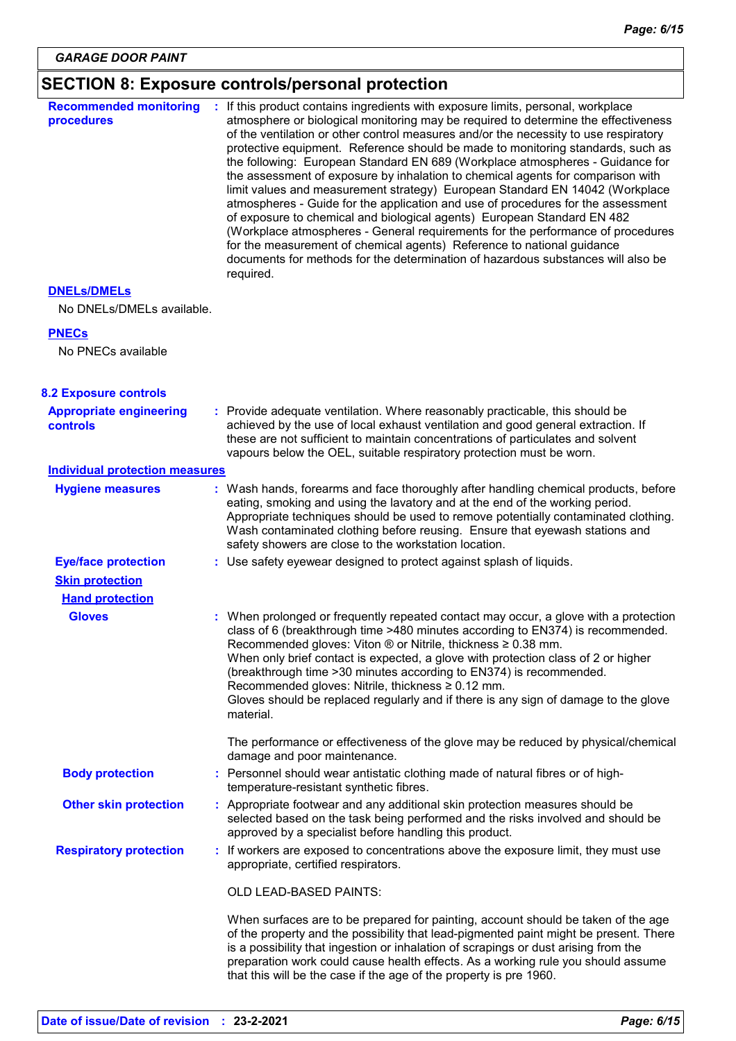# **SECTION 8: Exposure controls/personal protection**

| <b>Recommended monitoring</b><br>procedures       | : If this product contains ingredients with exposure limits, personal, workplace<br>atmosphere or biological monitoring may be required to determine the effectiveness<br>of the ventilation or other control measures and/or the necessity to use respiratory<br>protective equipment. Reference should be made to monitoring standards, such as<br>the following: European Standard EN 689 (Workplace atmospheres - Guidance for<br>the assessment of exposure by inhalation to chemical agents for comparison with<br>limit values and measurement strategy) European Standard EN 14042 (Workplace<br>atmospheres - Guide for the application and use of procedures for the assessment<br>of exposure to chemical and biological agents) European Standard EN 482<br>(Workplace atmospheres - General requirements for the performance of procedures<br>for the measurement of chemical agents) Reference to national guidance<br>documents for methods for the determination of hazardous substances will also be<br>required. |
|---------------------------------------------------|------------------------------------------------------------------------------------------------------------------------------------------------------------------------------------------------------------------------------------------------------------------------------------------------------------------------------------------------------------------------------------------------------------------------------------------------------------------------------------------------------------------------------------------------------------------------------------------------------------------------------------------------------------------------------------------------------------------------------------------------------------------------------------------------------------------------------------------------------------------------------------------------------------------------------------------------------------------------------------------------------------------------------------|
| <b>DNELS/DMELS</b>                                |                                                                                                                                                                                                                                                                                                                                                                                                                                                                                                                                                                                                                                                                                                                                                                                                                                                                                                                                                                                                                                    |
| No DNELs/DMELs available.                         |                                                                                                                                                                                                                                                                                                                                                                                                                                                                                                                                                                                                                                                                                                                                                                                                                                                                                                                                                                                                                                    |
| <b>PNECs</b>                                      |                                                                                                                                                                                                                                                                                                                                                                                                                                                                                                                                                                                                                                                                                                                                                                                                                                                                                                                                                                                                                                    |
| No PNECs available                                |                                                                                                                                                                                                                                                                                                                                                                                                                                                                                                                                                                                                                                                                                                                                                                                                                                                                                                                                                                                                                                    |
| <b>8.2 Exposure controls</b>                      |                                                                                                                                                                                                                                                                                                                                                                                                                                                                                                                                                                                                                                                                                                                                                                                                                                                                                                                                                                                                                                    |
| <b>Appropriate engineering</b><br><b>controls</b> | : Provide adequate ventilation. Where reasonably practicable, this should be<br>achieved by the use of local exhaust ventilation and good general extraction. If<br>these are not sufficient to maintain concentrations of particulates and solvent<br>vapours below the OEL, suitable respiratory protection must be worn.                                                                                                                                                                                                                                                                                                                                                                                                                                                                                                                                                                                                                                                                                                        |
| <b>Individual protection measures</b>             |                                                                                                                                                                                                                                                                                                                                                                                                                                                                                                                                                                                                                                                                                                                                                                                                                                                                                                                                                                                                                                    |
| <b>Hygiene measures</b>                           | : Wash hands, forearms and face thoroughly after handling chemical products, before<br>eating, smoking and using the lavatory and at the end of the working period.<br>Appropriate techniques should be used to remove potentially contaminated clothing.<br>Wash contaminated clothing before reusing. Ensure that eyewash stations and<br>safety showers are close to the workstation location.                                                                                                                                                                                                                                                                                                                                                                                                                                                                                                                                                                                                                                  |
| <b>Eye/face protection</b>                        | : Use safety eyewear designed to protect against splash of liquids.                                                                                                                                                                                                                                                                                                                                                                                                                                                                                                                                                                                                                                                                                                                                                                                                                                                                                                                                                                |
| <b>Skin protection</b>                            |                                                                                                                                                                                                                                                                                                                                                                                                                                                                                                                                                                                                                                                                                                                                                                                                                                                                                                                                                                                                                                    |
| <b>Hand protection</b>                            |                                                                                                                                                                                                                                                                                                                                                                                                                                                                                                                                                                                                                                                                                                                                                                                                                                                                                                                                                                                                                                    |
| <b>Gloves</b>                                     | : When prolonged or frequently repeated contact may occur, a glove with a protection<br>class of 6 (breakthrough time >480 minutes according to EN374) is recommended.<br>Recommended gloves: Viton ® or Nitrile, thickness ≥ 0.38 mm.<br>When only brief contact is expected, a glove with protection class of 2 or higher<br>(breakthrough time > 30 minutes according to EN374) is recommended.<br>Recommended gloves: Nitrile, thickness ≥ 0.12 mm.<br>Gloves should be replaced regularly and if there is any sign of damage to the glove<br>material.                                                                                                                                                                                                                                                                                                                                                                                                                                                                        |
|                                                   | The performance or effectiveness of the glove may be reduced by physical/chemical<br>damage and poor maintenance.                                                                                                                                                                                                                                                                                                                                                                                                                                                                                                                                                                                                                                                                                                                                                                                                                                                                                                                  |
| <b>Body protection</b>                            | : Personnel should wear antistatic clothing made of natural fibres or of high-<br>temperature-resistant synthetic fibres.                                                                                                                                                                                                                                                                                                                                                                                                                                                                                                                                                                                                                                                                                                                                                                                                                                                                                                          |
| <b>Other skin protection</b>                      | : Appropriate footwear and any additional skin protection measures should be<br>selected based on the task being performed and the risks involved and should be<br>approved by a specialist before handling this product.                                                                                                                                                                                                                                                                                                                                                                                                                                                                                                                                                                                                                                                                                                                                                                                                          |
| <b>Respiratory protection</b>                     | : If workers are exposed to concentrations above the exposure limit, they must use<br>appropriate, certified respirators.                                                                                                                                                                                                                                                                                                                                                                                                                                                                                                                                                                                                                                                                                                                                                                                                                                                                                                          |
|                                                   | OLD LEAD-BASED PAINTS:                                                                                                                                                                                                                                                                                                                                                                                                                                                                                                                                                                                                                                                                                                                                                                                                                                                                                                                                                                                                             |
|                                                   | When surfaces are to be prepared for painting, account should be taken of the age<br>of the property and the possibility that lead-pigmented paint might be present. There<br>is a possibility that ingestion or inhalation of scrapings or dust arising from the<br>preparation work could cause health effects. As a working rule you should assume<br>that this will be the case if the age of the property is pre 1960.                                                                                                                                                                                                                                                                                                                                                                                                                                                                                                                                                                                                        |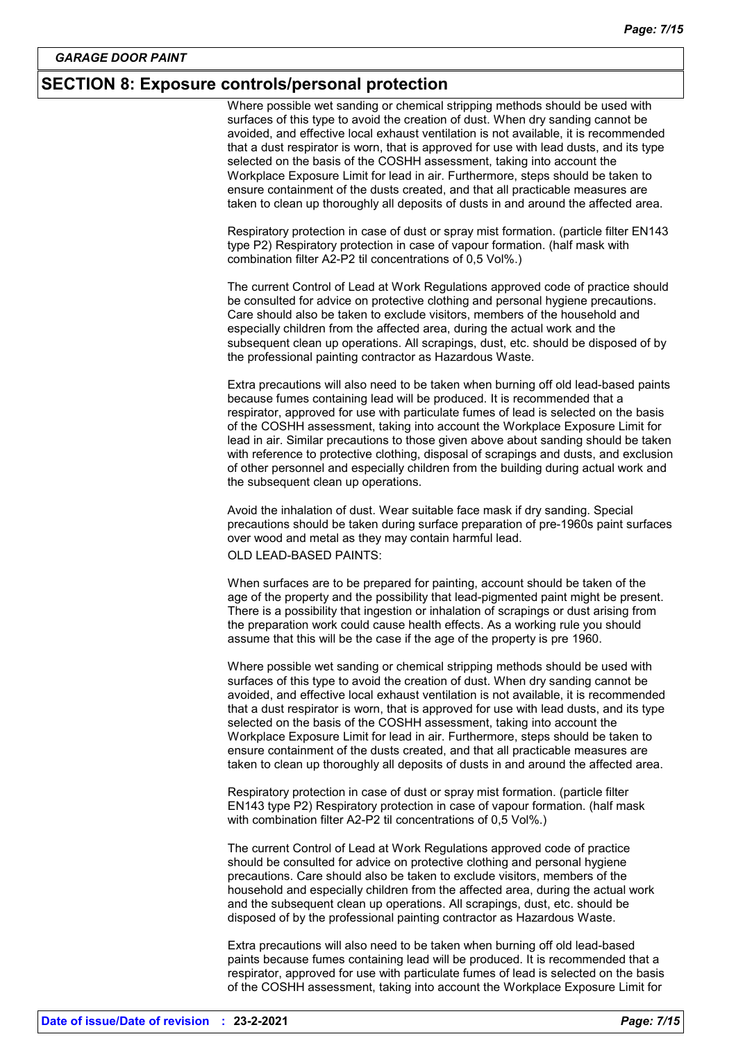### **SECTION 8: Exposure controls/personal protection**

Where possible wet sanding or chemical stripping methods should be used with surfaces of this type to avoid the creation of dust. When dry sanding cannot be avoided, and effective local exhaust ventilation is not available, it is recommended that a dust respirator is worn, that is approved for use with lead dusts, and its type selected on the basis of the COSHH assessment, taking into account the Workplace Exposure Limit for lead in air. Furthermore, steps should be taken to ensure containment of the dusts created, and that all practicable measures are taken to clean up thoroughly all deposits of dusts in and around the affected area.

Respiratory protection in case of dust or spray mist formation. (particle filter EN143 type P2) Respiratory protection in case of vapour formation. (half mask with combination filter A2-P2 til concentrations of 0,5 Vol%.)

The current Control of Lead at Work Regulations approved code of practice should be consulted for advice on protective clothing and personal hygiene precautions. Care should also be taken to exclude visitors, members of the household and especially children from the affected area, during the actual work and the subsequent clean up operations. All scrapings, dust, etc. should be disposed of by the professional painting contractor as Hazardous Waste.

Extra precautions will also need to be taken when burning off old lead-based paints because fumes containing lead will be produced. It is recommended that a respirator, approved for use with particulate fumes of lead is selected on the basis of the COSHH assessment, taking into account the Workplace Exposure Limit for lead in air. Similar precautions to those given above about sanding should be taken with reference to protective clothing, disposal of scrapings and dusts, and exclusion of other personnel and especially children from the building during actual work and the subsequent clean up operations.

Avoid the inhalation of dust. Wear suitable face mask if dry sanding. Special precautions should be taken during surface preparation of pre-1960s paint surfaces over wood and metal as they may contain harmful lead.

OLD LEAD-BASED PAINTS:

When surfaces are to be prepared for painting, account should be taken of the age of the property and the possibility that lead-pigmented paint might be present. There is a possibility that ingestion or inhalation of scrapings or dust arising from the preparation work could cause health effects. As a working rule you should assume that this will be the case if the age of the property is pre 1960.

Where possible wet sanding or chemical stripping methods should be used with surfaces of this type to avoid the creation of dust. When dry sanding cannot be avoided, and effective local exhaust ventilation is not available, it is recommended that a dust respirator is worn, that is approved for use with lead dusts, and its type selected on the basis of the COSHH assessment, taking into account the Workplace Exposure Limit for lead in air. Furthermore, steps should be taken to ensure containment of the dusts created, and that all practicable measures are taken to clean up thoroughly all deposits of dusts in and around the affected area.

Respiratory protection in case of dust or spray mist formation. (particle filter EN143 type P2) Respiratory protection in case of vapour formation. (half mask with combination filter A2-P2 til concentrations of 0,5 Vol%.)

The current Control of Lead at Work Regulations approved code of practice should be consulted for advice on protective clothing and personal hygiene precautions. Care should also be taken to exclude visitors, members of the household and especially children from the affected area, during the actual work and the subsequent clean up operations. All scrapings, dust, etc. should be disposed of by the professional painting contractor as Hazardous Waste.

Extra precautions will also need to be taken when burning off old lead-based paints because fumes containing lead will be produced. It is recommended that a respirator, approved for use with particulate fumes of lead is selected on the basis of the COSHH assessment, taking into account the Workplace Exposure Limit for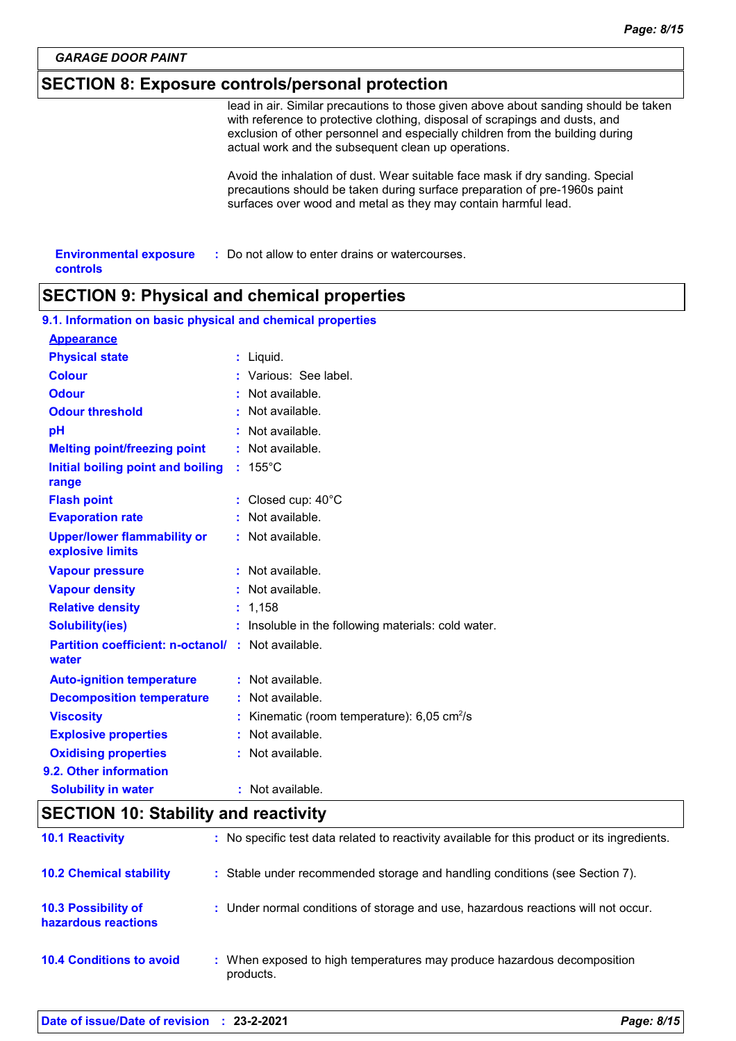# **SECTION 8: Exposure controls/personal protection**

lead in air. Similar precautions to those given above about sanding should be taken with reference to protective clothing, disposal of scrapings and dusts, and exclusion of other personnel and especially children from the building during actual work and the subsequent clean up operations.

Avoid the inhalation of dust. Wear suitable face mask if dry sanding. Special precautions should be taken during surface preparation of pre-1960s paint surfaces over wood and metal as they may contain harmful lead.

| <b>Environmental exposure</b> | : Do not allow to enter drains or watercourses. |
|-------------------------------|-------------------------------------------------|
| controls                      |                                                 |

# **SECTION 9: Physical and chemical properties**

| 9.1. Information on basic physical and chemical properties         |                                                           |
|--------------------------------------------------------------------|-----------------------------------------------------------|
| <b>Appearance</b>                                                  |                                                           |
| <b>Physical state</b>                                              | $:$ Liquid.                                               |
| <b>Colour</b>                                                      | : Various: See label.                                     |
| <b>Odour</b>                                                       | : Not available.                                          |
| <b>Odour threshold</b>                                             | $:$ Not available.                                        |
| pH                                                                 | $:$ Not available.                                        |
| <b>Melting point/freezing point</b>                                | : Not available.                                          |
| Initial boiling point and boiling<br>range                         | $: 155^{\circ}$ C                                         |
| <b>Flash point</b>                                                 | : Closed cup: 40°C                                        |
| <b>Evaporation rate</b>                                            | : Not available.                                          |
| <b>Upper/lower flammability or</b><br>explosive limits             | : Not available.                                          |
| <b>Vapour pressure</b>                                             | : Not available.                                          |
| <b>Vapour density</b>                                              | : Not available.                                          |
| <b>Relative density</b>                                            | : 1,158                                                   |
| <b>Solubility(ies)</b>                                             | : Insoluble in the following materials: cold water.       |
| <b>Partition coefficient: n-octanol/ : Not available.</b><br>water |                                                           |
| <b>Auto-ignition temperature</b>                                   | : Not available.                                          |
| <b>Decomposition temperature</b>                                   | : Not available.                                          |
| <b>Viscosity</b>                                                   | : Kinematic (room temperature): $6,05$ cm <sup>2</sup> /s |
| <b>Explosive properties</b>                                        | : Not available.                                          |
| <b>Oxidising properties</b>                                        | : Not available.                                          |
| 9.2. Other information                                             |                                                           |
| <b>Solubility in water</b>                                         | : Not available.                                          |

## **SECTION 10: Stability and reactivity**

| <b>10.1 Reactivity</b>                            | : No specific test data related to reactivity available for this product or its ingredients. |
|---------------------------------------------------|----------------------------------------------------------------------------------------------|
| <b>10.2 Chemical stability</b>                    | : Stable under recommended storage and handling conditions (see Section 7).                  |
| <b>10.3 Possibility of</b><br>hazardous reactions | : Under normal conditions of storage and use, hazardous reactions will not occur.            |
| <b>10.4 Conditions to avoid</b>                   | : When exposed to high temperatures may produce hazardous decomposition<br>products.         |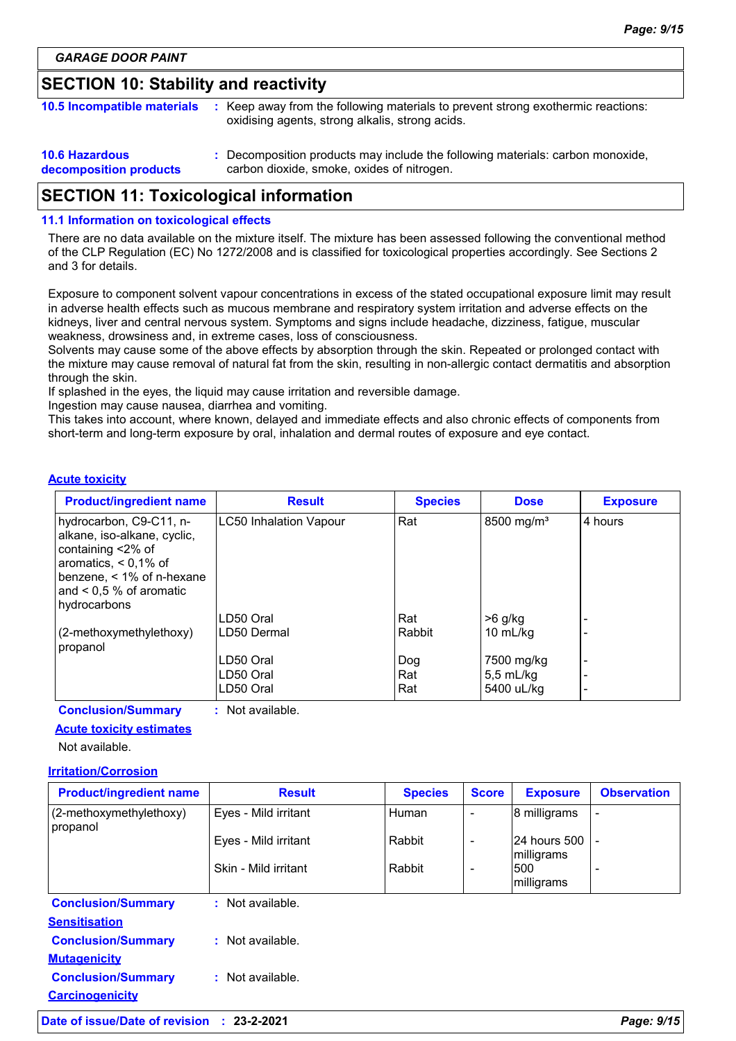# **SECTION 10: Stability and reactivity**

| <b>10.5 Incompatible materials</b>              | : Keep away from the following materials to prevent strong exothermic reactions:<br>oxidising agents, strong alkalis, strong acids. |
|-------------------------------------------------|-------------------------------------------------------------------------------------------------------------------------------------|
| <b>10.6 Hazardous</b><br>decomposition products | : Decomposition products may include the following materials: carbon monoxide,<br>carbon dioxide, smoke, oxides of nitrogen.        |

# **SECTION 11: Toxicological information**

#### **11.1 Information on toxicological effects**

There are no data available on the mixture itself. The mixture has been assessed following the conventional method of the CLP Regulation (EC) No 1272/2008 and is classified for toxicological properties accordingly. See Sections 2 and 3 for details.

Exposure to component solvent vapour concentrations in excess of the stated occupational exposure limit may result in adverse health effects such as mucous membrane and respiratory system irritation and adverse effects on the kidneys, liver and central nervous system. Symptoms and signs include headache, dizziness, fatigue, muscular weakness, drowsiness and, in extreme cases, loss of consciousness.

Solvents may cause some of the above effects by absorption through the skin. Repeated or prolonged contact with the mixture may cause removal of natural fat from the skin, resulting in non-allergic contact dermatitis and absorption through the skin.

If splashed in the eyes, the liquid may cause irritation and reversible damage.

Ingestion may cause nausea, diarrhea and vomiting.

This takes into account, where known, delayed and immediate effects and also chronic effects of components from short-term and long-term exposure by oral, inhalation and dermal routes of exposure and eye contact.

#### **Acute toxicity**

| <b>Product/ingredient name</b>                                                                                                                                                     | <b>Result</b>                 | <b>Species</b> | <b>Dose</b>            | <b>Exposure</b>          |
|------------------------------------------------------------------------------------------------------------------------------------------------------------------------------------|-------------------------------|----------------|------------------------|--------------------------|
| hydrocarbon, C9-C11, n-<br>alkane, iso-alkane, cyclic,<br>containing <2% of<br>aromatics, $< 0.1\%$ of<br>benzene, $<$ 1% of n-hexane<br>and $< 0.5 %$ of aromatic<br>hydrocarbons | <b>LC50 Inhalation Vapour</b> | Rat            | 8500 mg/m <sup>3</sup> | 4 hours                  |
|                                                                                                                                                                                    | LD50 Oral                     | Rat            | >6 g/kg                |                          |
| (2-methoxymethylethoxy)<br>propanol                                                                                                                                                | LD50 Dermal                   | Rabbit         | 10 $mL/kg$             |                          |
|                                                                                                                                                                                    | LD50 Oral                     | Dog            | 7500 mg/kg             | $\overline{\phantom{0}}$ |
|                                                                                                                                                                                    | LD50 Oral                     | Rat            | $5,5$ mL/kg            |                          |
|                                                                                                                                                                                    | LD50 Oral                     | Rat            | 5400 uL/kg             | $\overline{\phantom{0}}$ |

**Conclusion/Summary :** Not available.

#### **Acute toxicity estimates**

Not available.

#### **Irritation/Corrosion**

| <b>Product/ingredient name</b>                      | <b>Result</b>        | <b>Species</b> | <b>Score</b> | <b>Exposure</b>            | <b>Observation</b> |
|-----------------------------------------------------|----------------------|----------------|--------------|----------------------------|--------------------|
| (2-methoxymethylethoxy)<br>propanol                 | Eyes - Mild irritant | Human          |              | 8 milligrams               |                    |
|                                                     | Eyes - Mild irritant | Rabbit         |              | 24 hours 500<br>milligrams |                    |
|                                                     | Skin - Mild irritant | Rabbit         |              | 500<br>milligrams          |                    |
| <b>Conclusion/Summary</b><br><b>Sensitisation</b>   | : Not available.     |                |              |                            |                    |
| <b>Conclusion/Summary</b><br><b>Mutagenicity</b>    | : Not available.     |                |              |                            |                    |
| <b>Conclusion/Summary</b><br><b>Carcinogenicity</b> | : Not available.     |                |              |                            |                    |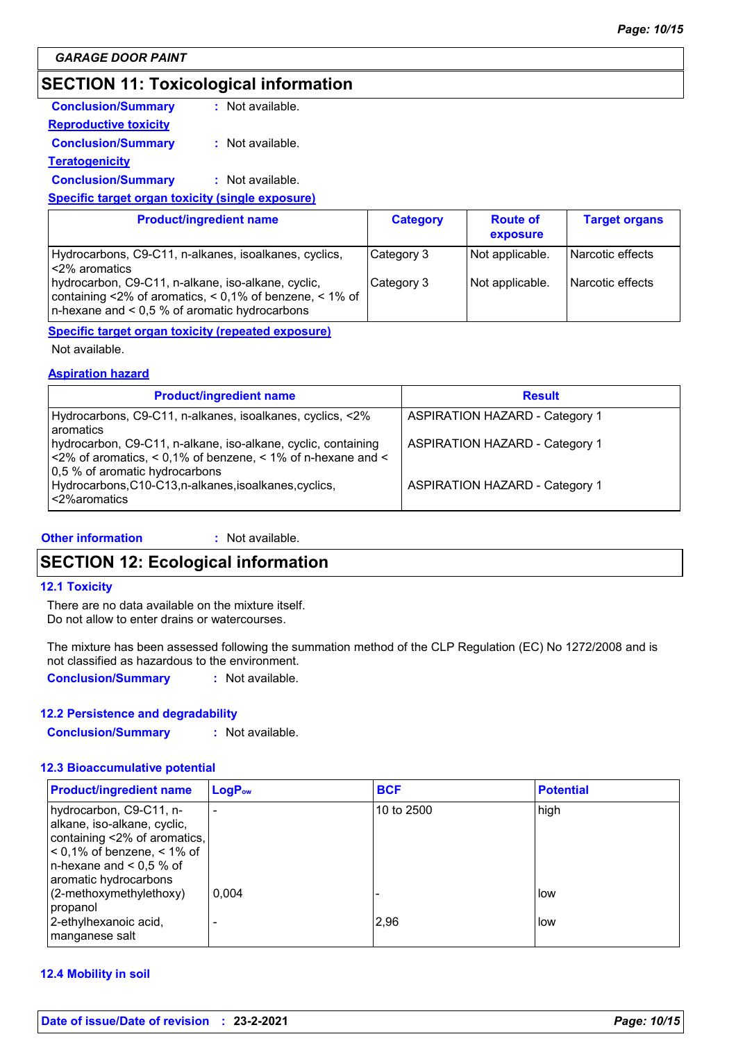# **SECTION 11: Toxicological information**

| <b>Conclusion/Summary</b>                               | : Not available. |
|---------------------------------------------------------|------------------|
| <b>Reproductive toxicity</b>                            |                  |
| <b>Conclusion/Summary</b>                               | : Not available. |
| <b>Teratogenicity</b>                                   |                  |
| <b>Conclusion/Summary</b>                               | : Not available. |
| <b>Specific target organ toxicity (single exposure)</b> |                  |
|                                                         |                  |

| <b>Product/ingredient name</b>                                                                                                                                    | <b>Category</b> | <b>Route of</b><br>exposure | <b>Target organs</b> |
|-------------------------------------------------------------------------------------------------------------------------------------------------------------------|-----------------|-----------------------------|----------------------|
| Hydrocarbons, C9-C11, n-alkanes, isoalkanes, cyclics,<br>l <2% aromatics                                                                                          | Category 3      | Not applicable.             | l Narcotic effects   |
| hydrocarbon, C9-C11, n-alkane, iso-alkane, cyclic,<br>containing <2% of aromatics, < 0,1% of benzene, < 1% of<br>$n$ -hexane and < 0.5 % of aromatic hydrocarbons | Category 3      | Not applicable.             | l Narcotic effects   |

#### **Specific target organ toxicity (repeated exposure)**

Not available.

#### **Aspiration hazard**

| <b>Product/ingredient name</b>                                                                                                                                     | <b>Result</b>                         |
|--------------------------------------------------------------------------------------------------------------------------------------------------------------------|---------------------------------------|
| Hydrocarbons, C9-C11, n-alkanes, isoalkanes, cyclics, <2%<br>aromatics                                                                                             | <b>ASPIRATION HAZARD - Category 1</b> |
| hydrocarbon, C9-C11, n-alkane, iso-alkane, cyclic, containing<br>$ $ <2% of aromatics, < 0,1% of benzene, < 1% of n-hexane and <<br>0,5 % of aromatic hydrocarbons | <b>ASPIRATION HAZARD - Category 1</b> |
| Hydrocarbons, C10-C13, n-alkanes, isoalkanes, cyclics,<br><2% aromatics                                                                                            | <b>ASPIRATION HAZARD - Category 1</b> |

#### **Other information :** : Not available.

### **SECTION 12: Ecological information**

#### **12.1 Toxicity**

There are no data available on the mixture itself. Do not allow to enter drains or watercourses.

The mixture has been assessed following the summation method of the CLP Regulation (EC) No 1272/2008 and is not classified as hazardous to the environment.

**Conclusion/Summary :** Not available.

#### **12.2 Persistence and degradability**

**Conclusion/Summary :** Not available.

#### **12.3 Bioaccumulative potential**

| <b>Product/ingredient name</b>                                                                                                                                                 | $LogP_{ow}$              | <b>BCF</b> | <b>Potential</b> |
|--------------------------------------------------------------------------------------------------------------------------------------------------------------------------------|--------------------------|------------|------------------|
| hydrocarbon, C9-C11, n-<br>alkane, iso-alkane, cyclic,<br>containing <2% of aromatics,<br>$0.1\%$ of benzene, $0.1\%$ of<br>n-hexane and $< 0.5$ % of<br>aromatic hydrocarbons | $\overline{\phantom{0}}$ | 10 to 2500 | high             |
| (2-methoxymethylethoxy)<br>propanol<br>2-ethylhexanoic acid,<br>manganese salt                                                                                                 | 0.004                    | 2,96       | low<br>low       |

#### **12.4 Mobility in soil**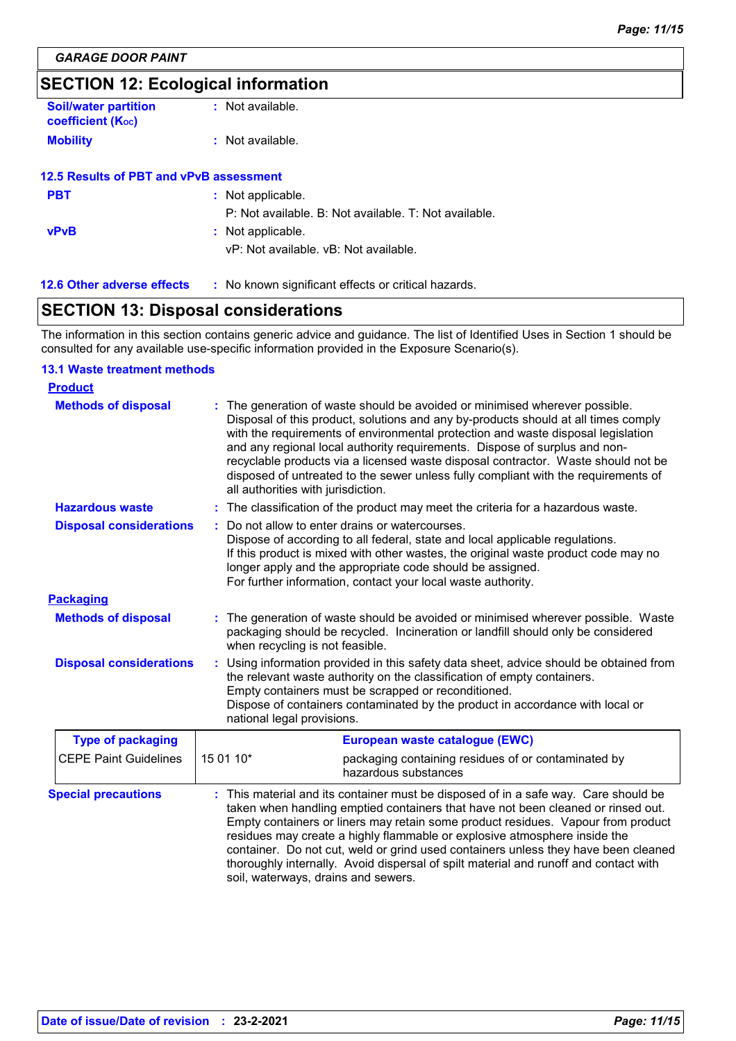# **SECTION 12: Ecological information**

| <b>Soil/water partition</b><br><b>coefficient (Koc)</b> | : Not available. |
|---------------------------------------------------------|------------------|
| <b>Mobility</b>                                         | : Not available. |
| 12.5 Results of PBT and vPvB assessment                 |                  |

| <b>PBT</b>  | : Not applicable.                                     |
|-------------|-------------------------------------------------------|
|             | P: Not available. B: Not available. T: Not available. |
| <b>vPvB</b> | : Not applicable.                                     |
|             | vP: Not available. vB: Not available.                 |
|             |                                                       |

#### **12.6 Other adverse effects** : No known significant effects or critical hazards.

# **SECTION 13: Disposal considerations**

The information in this section contains generic advice and guidance. The list of Identified Uses in Section 1 should be consulted for any available use-specific information provided in the Exposure Scenario(s).

#### **13.1 Waste treatment methods**

| <b>Product</b>                 |                                                                                                                                                                                                                                                                                                                                                                                                                                                                                                                                                             |  |  |
|--------------------------------|-------------------------------------------------------------------------------------------------------------------------------------------------------------------------------------------------------------------------------------------------------------------------------------------------------------------------------------------------------------------------------------------------------------------------------------------------------------------------------------------------------------------------------------------------------------|--|--|
| <b>Methods of disposal</b>     | The generation of waste should be avoided or minimised wherever possible.<br>Disposal of this product, solutions and any by-products should at all times comply<br>with the requirements of environmental protection and waste disposal legislation<br>and any regional local authority requirements. Dispose of surplus and non-<br>recyclable products via a licensed waste disposal contractor. Waste should not be<br>disposed of untreated to the sewer unless fully compliant with the requirements of<br>all authorities with jurisdiction.          |  |  |
| <b>Hazardous waste</b>         | : The classification of the product may meet the criteria for a hazardous waste.                                                                                                                                                                                                                                                                                                                                                                                                                                                                            |  |  |
| <b>Disposal considerations</b> | Do not allow to enter drains or watercourses.<br>÷.<br>Dispose of according to all federal, state and local applicable regulations.<br>If this product is mixed with other wastes, the original waste product code may no<br>longer apply and the appropriate code should be assigned.<br>For further information, contact your local waste authority.                                                                                                                                                                                                      |  |  |
| <b>Packaging</b>               |                                                                                                                                                                                                                                                                                                                                                                                                                                                                                                                                                             |  |  |
| <b>Methods of disposal</b>     | : The generation of waste should be avoided or minimised wherever possible. Waste<br>packaging should be recycled. Incineration or landfill should only be considered<br>when recycling is not feasible.                                                                                                                                                                                                                                                                                                                                                    |  |  |
| <b>Disposal considerations</b> | Using information provided in this safety data sheet, advice should be obtained from<br>the relevant waste authority on the classification of empty containers.<br>Empty containers must be scrapped or reconditioned.<br>Dispose of containers contaminated by the product in accordance with local or<br>national legal provisions.                                                                                                                                                                                                                       |  |  |
| <b>Type of packaging</b>       | European waste catalogue (EWC)                                                                                                                                                                                                                                                                                                                                                                                                                                                                                                                              |  |  |
| <b>CEPE Paint Guidelines</b>   | 15 01 10*<br>packaging containing residues of or contaminated by<br>hazardous substances                                                                                                                                                                                                                                                                                                                                                                                                                                                                    |  |  |
| <b>Special precautions</b>     | This material and its container must be disposed of in a safe way. Care should be<br>taken when handling emptied containers that have not been cleaned or rinsed out.<br>Empty containers or liners may retain some product residues. Vapour from product<br>residues may create a highly flammable or explosive atmosphere inside the<br>container. Do not cut, weld or grind used containers unless they have been cleaned<br>thoroughly internally. Avoid dispersal of spilt material and runoff and contact with<br>soil, waterways, drains and sewers. |  |  |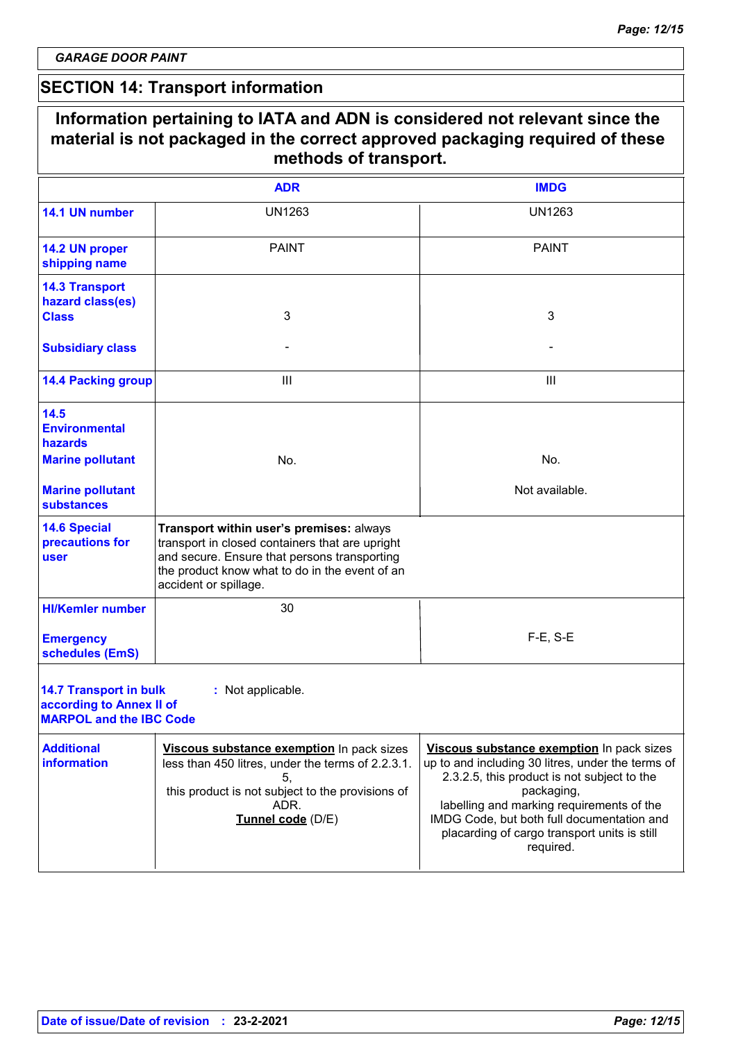# **SECTION 14: Transport information**

| Information pertaining to IATA and ADN is considered not relevant since the<br>material is not packaged in the correct approved packaging required of these<br>methods of transport. |                                                                                                                                                                                                                        |                                                                                                                                                                                                                                                                                                                     |  |  |
|--------------------------------------------------------------------------------------------------------------------------------------------------------------------------------------|------------------------------------------------------------------------------------------------------------------------------------------------------------------------------------------------------------------------|---------------------------------------------------------------------------------------------------------------------------------------------------------------------------------------------------------------------------------------------------------------------------------------------------------------------|--|--|
|                                                                                                                                                                                      | <b>ADR</b>                                                                                                                                                                                                             | <b>IMDG</b>                                                                                                                                                                                                                                                                                                         |  |  |
| 14.1 UN number                                                                                                                                                                       | <b>UN1263</b>                                                                                                                                                                                                          | <b>UN1263</b>                                                                                                                                                                                                                                                                                                       |  |  |
| 14.2 UN proper<br>shipping name                                                                                                                                                      | <b>PAINT</b>                                                                                                                                                                                                           | <b>PAINT</b>                                                                                                                                                                                                                                                                                                        |  |  |
| <b>14.3 Transport</b><br>hazard class(es)<br><b>Class</b>                                                                                                                            | 3                                                                                                                                                                                                                      | 3                                                                                                                                                                                                                                                                                                                   |  |  |
| <b>Subsidiary class</b>                                                                                                                                                              |                                                                                                                                                                                                                        |                                                                                                                                                                                                                                                                                                                     |  |  |
| <b>14.4 Packing group</b>                                                                                                                                                            | Ш                                                                                                                                                                                                                      | Ш                                                                                                                                                                                                                                                                                                                   |  |  |
| 14.5<br><b>Environmental</b><br>hazards<br><b>Marine pollutant</b>                                                                                                                   | No.                                                                                                                                                                                                                    | No.                                                                                                                                                                                                                                                                                                                 |  |  |
| <b>Marine pollutant</b><br><b>substances</b>                                                                                                                                         |                                                                                                                                                                                                                        | Not available.                                                                                                                                                                                                                                                                                                      |  |  |
| <b>14.6 Special</b><br>precautions for<br>user                                                                                                                                       | Transport within user's premises: always<br>transport in closed containers that are upright<br>and secure. Ensure that persons transporting<br>the product know what to do in the event of an<br>accident or spillage. |                                                                                                                                                                                                                                                                                                                     |  |  |
| <b>HI/Kemler number</b>                                                                                                                                                              | 30                                                                                                                                                                                                                     |                                                                                                                                                                                                                                                                                                                     |  |  |
| <b>Emergency</b><br>schedules (EmS)                                                                                                                                                  |                                                                                                                                                                                                                        | $F-E$ , S-E                                                                                                                                                                                                                                                                                                         |  |  |
| <b>14.7 Transport in bulk</b><br>according to Annex II of<br><b>MARPOL and the IBC Code</b>                                                                                          | : Not applicable.                                                                                                                                                                                                      |                                                                                                                                                                                                                                                                                                                     |  |  |
| <b>Additional</b><br><b>information</b>                                                                                                                                              | Viscous substance exemption In pack sizes<br>less than 450 litres, under the terms of 2.2.3.1.<br>5,<br>this product is not subject to the provisions of<br>ADR.<br>Tunnel code (D/E)                                  | Viscous substance exemption In pack sizes<br>up to and including 30 litres, under the terms of<br>2.3.2.5, this product is not subject to the<br>packaging,<br>labelling and marking requirements of the<br>IMDG Code, but both full documentation and<br>placarding of cargo transport units is still<br>required. |  |  |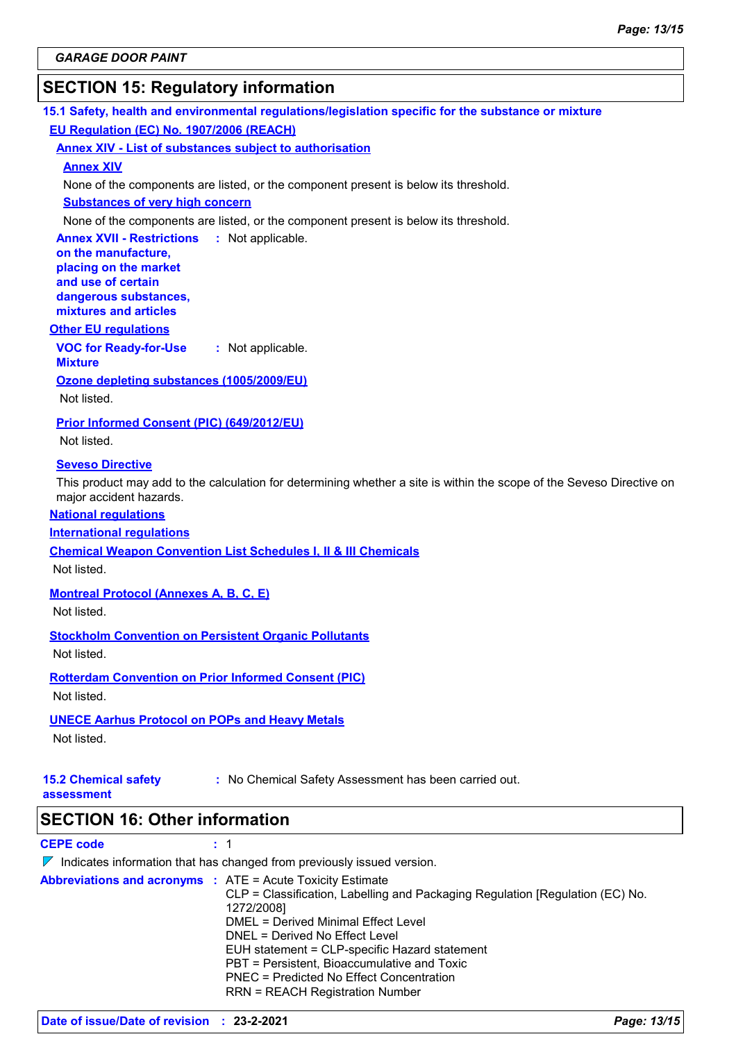# **SECTION 15: Regulatory information**

**15.1 Safety, health and environmental regulations/legislation specific for the substance or mixture EU Regulation (EC) No. 1907/2006 (REACH)**

**Annex XIV - List of substances subject to authorisation**

#### **Annex XIV**

None of the components are listed, or the component present is below its threshold.

**Substances of very high concern**

None of the components are listed, or the component present is below its threshold.

**Annex XVII - Restrictions : Not applicable. on the manufacture, placing on the market** 

**and use of certain dangerous substances, mixtures and articles**

#### **Other EU regulations**

**VOC for Ready-for-Use :** Not applicable.

**Ozone depleting substances (1005/2009/EU)**

Not listed.

**Mixture**

**Prior Informed Consent (PIC) (649/2012/EU)**

Not listed.

#### **Seveso Directive**

This product may add to the calculation for determining whether a site is within the scope of the Seveso Directive on major accident hazards.

#### **National regulations**

**International regulations**

**Chemical Weapon Convention List Schedules I, II & III Chemicals**

Not listed.

**Montreal Protocol (Annexes A, B, C, E)**

Not listed.

**Stockholm Convention on Persistent Organic Pollutants**

Not listed.

**Rotterdam Convention on Prior Informed Consent (PIC)**

Not listed.

#### **UNECE Aarhus Protocol on POPs and Heavy Metals**

Not listed.

**15.2 Chemical safety :** No Chemical Safety Assessment has been carried out.

**assessment**

**SECTION 16: Other information**

**CEPE code :** 1

 $\nabla$  Indicates information that has changed from previously issued version.

|  | <b>Abbreviations and acronyms : ATE = Acute Toxicity Estimate</b><br>CLP = Classification, Labelling and Packaging Regulation [Regulation (EC) No.<br>1272/2008] |
|--|------------------------------------------------------------------------------------------------------------------------------------------------------------------|
|  | DMEL = Derived Minimal Effect Level                                                                                                                              |
|  | DNEL = Derived No Effect Level                                                                                                                                   |
|  | EUH statement = CLP-specific Hazard statement                                                                                                                    |
|  | PBT = Persistent, Bioaccumulative and Toxic                                                                                                                      |
|  | PNEC = Predicted No Effect Concentration                                                                                                                         |
|  | <b>RRN = REACH Registration Number</b>                                                                                                                           |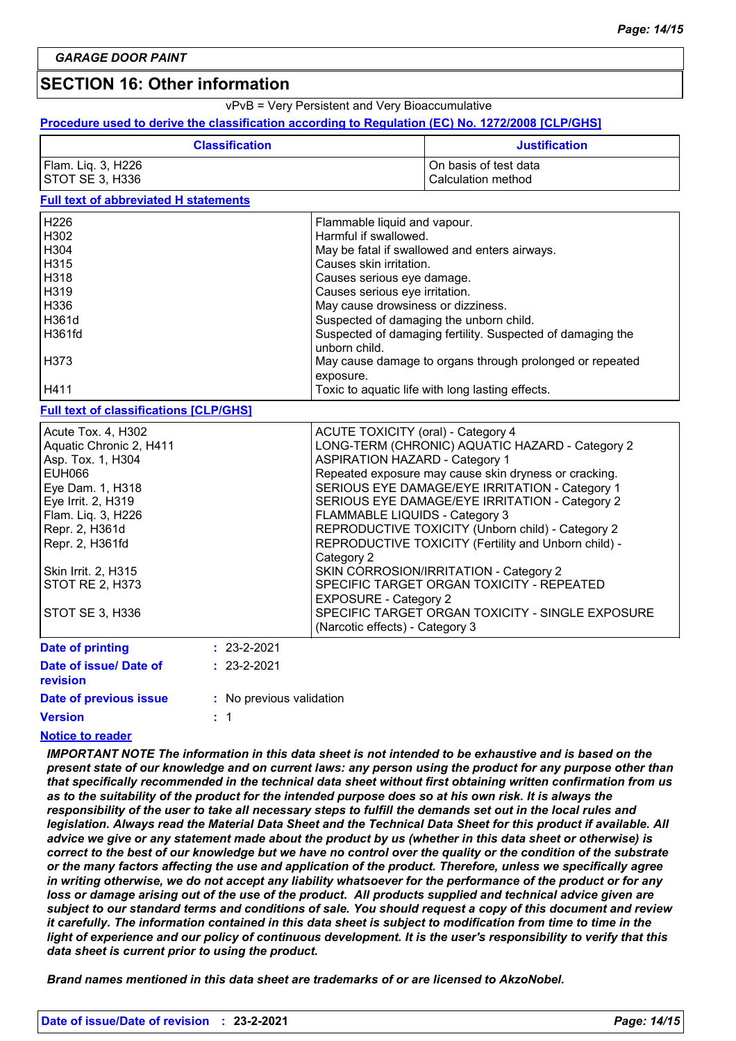# **SECTION 16: Other information**

vPvB = Very Persistent and Very Bioaccumulative

#### **Procedure used to derive the classification according to Regulation (EC) No. 1272/2008 [CLP/GHS]**

| <b>Classification</b> | <b>Justification</b>  |
|-----------------------|-----------------------|
| Flam. Liq. 3, H226    | On basis of test data |
| STOT SE 3, H336       | Calculation method    |

#### **Full text of abbreviated H statements**

| H <sub>226</sub>                              | Flammable liquid and vapour.                                                |
|-----------------------------------------------|-----------------------------------------------------------------------------|
| H <sub>302</sub>                              | Harmful if swallowed.                                                       |
| H <sub>304</sub>                              | May be fatal if swallowed and enters airways.                               |
| H <sub>315</sub>                              | Causes skin irritation.                                                     |
| H318                                          | Causes serious eye damage.                                                  |
| H319                                          | Causes serious eye irritation.                                              |
| H336                                          | May cause drowsiness or dizziness.                                          |
| H361d                                         | Suspected of damaging the unborn child.                                     |
| H361fd                                        | Suspected of damaging fertility. Suspected of damaging the<br>unborn child. |
| H <sub>373</sub>                              | May cause damage to organs through prolonged or repeated<br>exposure.       |
| H411                                          | Toxic to aquatic life with long lasting effects.                            |
| <b>Full text of classifications [CLP/GHS]</b> |                                                                             |

#### **Date of printing Date of issue/ Date of : :** 23-2-2021 Acute Tox. 4, H302 Acute ToxiCITY (oral) - Category 4 Aquatic Chronic 2, H411 **LONG-TERM (CHRONIC) AQUATIC HAZARD** - Category 2 Asp. Tox. 1, H304 ASPIRATION HAZARD - Category 1 EUH066 **Repeated exposure may cause skin dryness or cracking.** Repeated exposure may cause skin dryness or cracking. Eye Dam. 1, H318 SERIOUS EYE DAMAGE/EYE IRRITATION - Category 1 Eye Irrit. 2, H319 **SERIOUS EXELO ADDETER IRRITATION** - Category 2 Flam. Liq. 3, H226 FLAMMABLE LIQUIDS - Category 3 Repr. 2, H361d **REPRODUCTIVE TOXICITY (Unborn child)** - Category 2 Repr. 2, H361fd **REPRODUCTIVE TOXICITY** (Fertility and Unborn child) -Category 2 Skin Irrit. 2, H315 **SKIN CORROSION/IRRITATION - Category 2** STOT RE 2, H373 SPECIFIC TARGET ORGAN TOXICITY - REPEATED EXPOSURE - Category 2 STOT SE 3, H336 SPECIFIC TARGET ORGAN TOXICITY - SINGLE EXPOSURE (Narcotic effects) - Category 3

| revision               |                          |
|------------------------|--------------------------|
| Date of previous issue | : No previous validation |
| <b>Version</b>         | $\pm$ 1                  |
| Notico to reader       |                          |

#### **Notice to reader**

*IMPORTANT NOTE The information in this data sheet is not intended to be exhaustive and is based on the present state of our knowledge and on current laws: any person using the product for any purpose other than that specifically recommended in the technical data sheet without first obtaining written confirmation from us as to the suitability of the product for the intended purpose does so at his own risk. It is always the responsibility of the user to take all necessary steps to fulfill the demands set out in the local rules and legislation. Always read the Material Data Sheet and the Technical Data Sheet for this product if available. All advice we give or any statement made about the product by us (whether in this data sheet or otherwise) is correct to the best of our knowledge but we have no control over the quality or the condition of the substrate or the many factors affecting the use and application of the product. Therefore, unless we specifically agree in writing otherwise, we do not accept any liability whatsoever for the performance of the product or for any loss or damage arising out of the use of the product. All products supplied and technical advice given are subject to our standard terms and conditions of sale. You should request a copy of this document and review it carefully. The information contained in this data sheet is subject to modification from time to time in the light of experience and our policy of continuous development. It is the user's responsibility to verify that this data sheet is current prior to using the product.*

*Brand names mentioned in this data sheet are trademarks of or are licensed to AkzoNobel.*